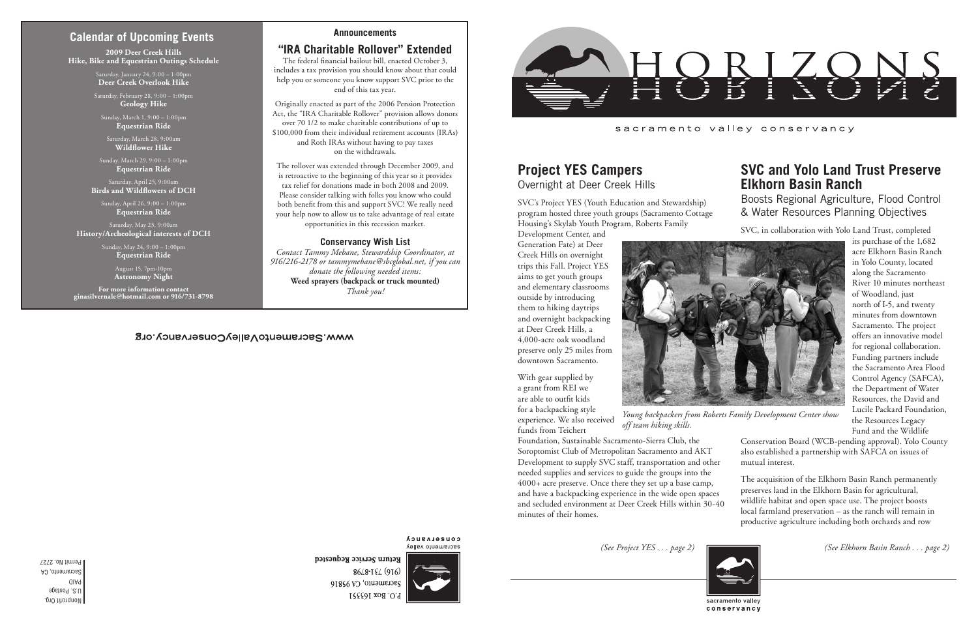Nonprofit Org. U.S. Postage PAID Sacramento, CA Permit No. 2727

#### sacramento valley conservancy

## **Calendar of Upcoming Events**

*Young backpackers from Roberts Family Development Center show* 



*off team hiking skills.*

# **Project YES Campers**

Overnight at Deer Creek Hills

SVC's Project YES (Youth Education and Stewardship) program hosted three youth groups (Sacramento Cottage Housing's Skylab Youth Program, Roberts Family

Development Center, and Generation Fate) at Deer Creek Hills on overnight trips this Fall. Project YES aims to get youth groups and elementary classrooms outside by introducing them to hiking daytrips and overnight backpacking at Deer Creek Hills, a 4,000-acre oak woodland preserve only 25 miles from downtown Sacramento.

With gear supplied by a grant from REI we are able to outfit kids for a backpacking style experience. We also received funds from Teichert

Foundation, Sustainable Sacramento-Sierra Club, the Soroptomist Club of Metropolitan Sacramento and AKT Development to supply SVC staff, transportation and other needed supplies and services to guide the groups into the 4000+ acre preserve. Once there they set up a base camp, and have a backpacking experience in the wide open spaces and secluded environment at Deer Creek Hills within 30-40 minutes of their homes.



**COUSELASUCA** sacramento valley



Return Service Requested 8648-194 (916) Sacramento, CA 95816 P.O. Box 163351

## **SVC and Yolo Land Trust Preserve Elkhorn Basin Ranch**

Boosts Regional Agriculture, Flood Control & Water Resources Planning Objectives

SVC, in collaboration with Yolo Land Trust, completed

its purchase of the 1,682 acre Elkhorn Basin Ranch in Yolo County, located along the Sacramento River 10 minutes northeast of Woodland, just north of I-5, and twenty minutes from downtown Sacramento. The project offers an innovative model for regional collaboration. Funding partners include the Sacramento Area Flood Control Agency (SAFCA), the Department of Water Resources, the David and Lucile Packard Foundation, the Resources Legacy Fund and the Wildlife

Conservation Board (WCB-pending approval). Yolo County also established a partnership with SAFCA on issues of mutual interest.

The acquisition of the Elkhorn Basin Ranch permanently preserves land in the Elkhorn Basin for agricultural, wildlife habitat and open space use. The project boosts local farmland preservation – as the ranch will remain in productive agriculture including both orchards and row

**2009 Deer Creek Hills Hike, Bike and Equestrian Outings Schedule**

> Saturday, January 24, 9:00 – 1:00pm **Deer Creek Overlook Hike**

Saturday, February 28, 9:00 – 1:00pm **Geology Hike**

Sunday, March 1, 9:00 – 1:00pm **Equestrian Ride**

Saturday, March 28, 9:00am **Wildflower Hike**

Sunday, March 29, 9:00 – 1:00pm **Equestrian Ride**

Saturday, April 25, 9:00am **Birds and Wildflowers of DCH**

Sunday, April 26, 9:00 – 1:00pm **Equestrian Ride**

Saturday, May 23, 9:00am **History/Archeological interests of DCH**

> Sunday, May 24, 9:00 – 1:00pm **Equestrian Ride**

> > August 15, 7pm-10pm **Astronomy Night**

**For more information contact ginasilvernale@hotmail.com or 916/731-8798**

#### WWW.SacramentoValleyConservancy.org

*(See Project YES . . . page 2) (See Elkhorn Basin Ranch . . . page 2)*

#### **Announcements**

### **"IRA Charitable Rollover" Extended**

The federal financial bailout bill, enacted October 3, includes a tax provision you should know about that could help you or someone you know support SVC prior to the end of this tax year.

Originally enacted as part of the 2006 Pension Protection Act, the "IRA Charitable Rollover" provision allows donors over 70 1/2 to make charitable contributions of up to \$100,000 from their individual retirement accounts (IRAs) and Roth IRAs without having to pay taxes on the withdrawals.

The rollover was extended through December 2009, and is retroactive to the beginning of this year so it provides tax relief for donations made in both 2008 and 2009. Please consider talking with folks you know who could both benefit from this and support SVC! We really need your help now to allow us to take advantage of real estate opportunities in this recession market.

#### **Conservancy Wish List**

*Contact Tammy Mebane, Stewardship Coordinator, at 916/216-2178 or tammymebane@sbcglobal.net, if you can donate the following needed items:*  **Weed sprayers (backpack or truck mounted)** *Thank you!*